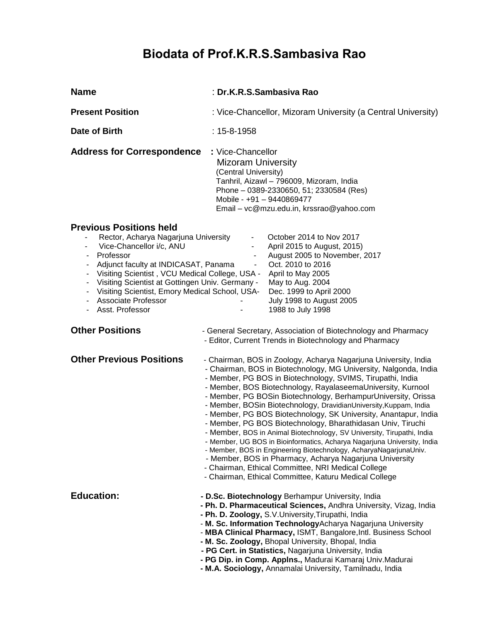# **Biodata of Prof.K.R.S.Sambasiva Rao**

| <b>Name</b>                                                                                                                                                                                                                                                                                                                                                                                                                                                                                                         | : Dr.K.R.S.Sambasiva Rao                                                                                                                                                                                                                                                                                                                                                                                                                                                                                                                                                                                                                                                                                                                                                                                                                                                                                                                     |  |  |
|---------------------------------------------------------------------------------------------------------------------------------------------------------------------------------------------------------------------------------------------------------------------------------------------------------------------------------------------------------------------------------------------------------------------------------------------------------------------------------------------------------------------|----------------------------------------------------------------------------------------------------------------------------------------------------------------------------------------------------------------------------------------------------------------------------------------------------------------------------------------------------------------------------------------------------------------------------------------------------------------------------------------------------------------------------------------------------------------------------------------------------------------------------------------------------------------------------------------------------------------------------------------------------------------------------------------------------------------------------------------------------------------------------------------------------------------------------------------------|--|--|
| <b>Present Position</b>                                                                                                                                                                                                                                                                                                                                                                                                                                                                                             | : Vice-Chancellor, Mizoram University (a Central University)                                                                                                                                                                                                                                                                                                                                                                                                                                                                                                                                                                                                                                                                                                                                                                                                                                                                                 |  |  |
| Date of Birth                                                                                                                                                                                                                                                                                                                                                                                                                                                                                                       | $: 15 - 8 - 1958$                                                                                                                                                                                                                                                                                                                                                                                                                                                                                                                                                                                                                                                                                                                                                                                                                                                                                                                            |  |  |
| <b>Address for Correspondence</b>                                                                                                                                                                                                                                                                                                                                                                                                                                                                                   | : Vice-Chancellor<br><b>Mizoram University</b><br>(Central University)<br>Tanhril, Aizawl - 796009, Mizoram, India<br>Phone - 0389-2330650, 51; 2330584 (Res)<br>Mobile - +91 - 9440869477<br>Email - vc@mzu.edu.in, krssrao@yahoo.com                                                                                                                                                                                                                                                                                                                                                                                                                                                                                                                                                                                                                                                                                                       |  |  |
| <b>Previous Positions held</b><br>Rector, Acharya Nagarjuna University<br>Vice-Chancellor i/c, ANU<br>$\overline{\phantom{a}}$<br>Professor<br>$\overline{\phantom{a}}$<br>Adjunct faculty at INDICASAT, Panama<br>Visiting Scientist, VCU Medical College, USA -<br>$\overline{\phantom{a}}$<br>Visiting Scientist at Gottingen Univ. Germany -<br>$\blacksquare$<br>Visiting Scientist, Emory Medical School, USA-<br>$\blacksquare$<br><b>Associate Professor</b><br>$\overline{\phantom{a}}$<br>Asst. Professor | October 2014 to Nov 2017<br>-<br>April 2015 to August, 2015)<br>۰<br>August 2005 to November, 2017<br>$\qquad \qquad \blacksquare$<br>Oct. 2010 to 2016<br>$\overline{\phantom{a}}$<br>April to May 2005<br>May to Aug. 2004<br>Dec. 1999 to April 2000<br>July 1998 to August 2005<br>1988 to July 1998                                                                                                                                                                                                                                                                                                                                                                                                                                                                                                                                                                                                                                     |  |  |
| <b>Other Positions</b>                                                                                                                                                                                                                                                                                                                                                                                                                                                                                              | - General Secretary, Association of Biotechnology and Pharmacy<br>- Editor, Current Trends in Biotechnology and Pharmacy                                                                                                                                                                                                                                                                                                                                                                                                                                                                                                                                                                                                                                                                                                                                                                                                                     |  |  |
| <b>Other Previous Positions</b>                                                                                                                                                                                                                                                                                                                                                                                                                                                                                     | - Chairman, BOS in Zoology, Acharya Nagarjuna University, India<br>- Chairman, BOS in Biotechnology, MG University, Nalgonda, India<br>- Member, PG BOS in Biotechnology, SVIMS, Tirupathi, India<br>- Member, BOS Biotechnology, RayalaseemaUniversity, Kurnool<br>- Member, PG BOSin Biotechnology, BerhampurUniversity, Orissa<br>- Member, BOSin Biotechnology, DravidianUniversity, Kuppam, India<br>- Member, PG BOS Biotechnology, SK University, Anantapur, India<br>- Member, PG BOS Biotechnology, Bharathidasan Univ, Tiruchi<br>- Member, BOS in Animal Biotechnology, SV University, Tirupathi, India<br>- Member, UG BOS in Bioinformatics, Acharya Nagarjuna University, India<br>- Member, BOS in Engineering Biotechnology, AcharyaNagarjunaUniv.<br>- Member, BOS in Pharmacy, Acharya Nagarjuna University<br>- Chairman, Ethical Committee, NRI Medical College<br>- Chairman, Ethical Committee, Katuru Medical College |  |  |
| <b>Education:</b>                                                                                                                                                                                                                                                                                                                                                                                                                                                                                                   | - D.Sc. Biotechnology Berhampur University, India<br>- Ph. D. Pharmaceutical Sciences, Andhra University, Vizag, India<br>- Ph. D. Zoology, S.V. University, Tirupathi, India<br>- M. Sc. Information Technology Acharya Nagarjuna University<br>- MBA Clinical Pharmacy, ISMT, Bangalore, Intl. Business School<br>- M. Sc. Zoology, Bhopal University, Bhopal, India<br>- PG Cert. in Statistics, Nagarjuna University, India<br>- PG Dip. in Comp. Applns., Madurai Kamaraj Univ.Madurai<br>- M.A. Sociology, Annamalai University, Tamilnadu, India                                                                                                                                                                                                                                                                                                                                                                                      |  |  |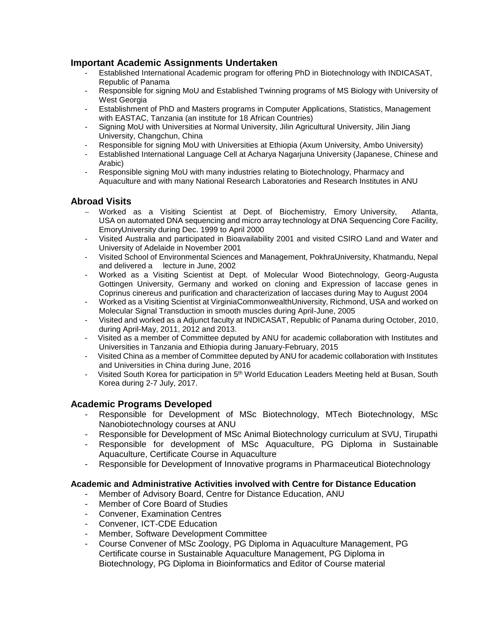#### **Important Academic Assignments Undertaken**

- Established International Academic program for offering PhD in Biotechnology with INDICASAT, Republic of Panama
- Responsible for signing MoU and Established Twinning programs of MS Biology with University of West Georgia
- Establishment of PhD and Masters programs in Computer Applications, Statistics, Management with EASTAC, Tanzania (an institute for 18 African Countries)
- Signing MoU with Universities at Normal University, Jilin Agricultural University, Jilin Jiang University, Changchun, China
- Responsible for signing MoU with Universities at Ethiopia (Axum University, Ambo University)
- Established International Language Cell at Acharya Nagarjuna University (Japanese, Chinese and Arabic)
- Responsible signing MoU with many industries relating to Biotechnology, Pharmacy and Aquaculture and with many National Research Laboratories and Research Institutes in ANU

# **Abroad Visits**

- Worked as a Visiting Scientist at Dept. of Biochemistry, Emory University, Atlanta, USA on automated DNA sequencing and micro array technology at DNA Sequencing Core Facility, EmoryUniversity during Dec. 1999 to April 2000
- Visited Australia and participated in Bioavailability 2001 and visited CSIRO Land and Water and University of Adelaide in November 2001
- Visited School of Environmental Sciences and Management, PokhraUniversity, Khatmandu, Nepal and delivered a lecture in June, 2002
- Worked as a Visiting Scientist at Dept. of Molecular Wood Biotechnology, Georg-Augusta Gottingen University, Germany and worked on cloning and Expression of laccase genes in Coprinus cinereus and purification and characterization of laccases during May to August 2004
- Worked as a Visiting Scientist at VirginiaCommonwealthUniversity, Richmond, USA and worked on Molecular Signal Transduction in smooth muscles during April-June, 2005
- Visited and worked as a Adjunct faculty at INDICASAT, Republic of Panama during October, 2010, during April-May, 2011, 2012 and 2013.
- Visited as a member of Committee deputed by ANU for academic collaboration with Institutes and Universities in Tanzania and Ethiopia during January-February, 2015
- Visited China as a member of Committee deputed by ANU for academic collaboration with Institutes and Universities in China during June, 2016
- Visited South Korea for participation in 5<sup>th</sup> World Education Leaders Meeting held at Busan, South Korea during 2-7 July, 2017.

# **Academic Programs Developed**

- Responsible for Development of MSc Biotechnology, MTech Biotechnology, MSc Nanobiotechnology courses at ANU
- Responsible for Development of MSc Animal Biotechnology curriculum at SVU, Tirupathi
- Responsible for development of MSc Aquaculture, PG Diploma in Sustainable Aquaculture, Certificate Course in Aquaculture
- Responsible for Development of Innovative programs in Pharmaceutical Biotechnology

#### **Academic and Administrative Activities involved with Centre for Distance Education**

- Member of Advisory Board, Centre for Distance Education, ANU
- Member of Core Board of Studies
- Convener, Examination Centres
- Convener, ICT-CDE Education
- Member, Software Development Committee
- Course Convener of MSc Zoology, PG Diploma in Aquaculture Management, PG Certificate course in Sustainable Aquaculture Management, PG Diploma in Biotechnology, PG Diploma in Bioinformatics and Editor of Course material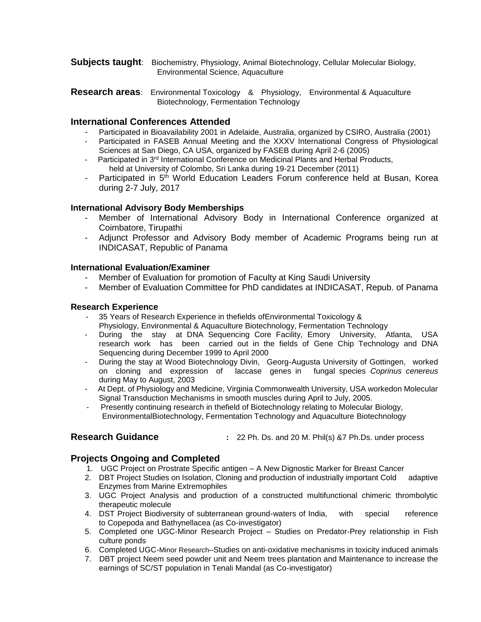- **Subjects taught**: Biochemistry, Physiology, Animal Biotechnology, Cellular Molecular Biology, Environmental Science, Aquaculture
- **Research areas**: Environmental Toxicology & Physiology, Environmental & Aquaculture Biotechnology, Fermentation Technology

#### **International Conferences Attended**

- Participated in Bioavailability 2001 in Adelaide, Australia, organized by CSIRO, Australia (2001)
- Participated in FASEB Annual Meeting and the XXXV International Congress of Physiological Sciences at San Diego, CA USA, organized by FASEB during April 2-6 (2005)
- Participated in 3<sup>rd</sup> International Conference on Medicinal Plants and Herbal Products, held at University of Colombo, Sri Lanka during 19-21 December (2011)
- Participated in 5<sup>th</sup> World Education Leaders Forum conference held at Busan, Korea during 2-7 July, 2017

#### **International Advisory Body Memberships**

- Member of International Advisory Body in International Conference organized at Coimbatore, Tirupathi
- Adjunct Professor and Advisory Body member of Academic Programs being run at INDICASAT, Republic of Panama

#### **International Evaluation/Examiner**

- Member of Evaluation for promotion of Faculty at King Saudi University
- Member of Evaluation Committee for PhD candidates at INDICASAT, Repub. of Panama

#### **Research Experience**

- 35 Years of Research Experience in thefields ofEnvironmental Toxicology & Physiology, Environmental & Aquaculture Biotechnology, Fermentation Technology
- During the stay at DNA Sequencing Core Facility, Emory University, Atlanta, USA research work has been carried out in the fields of Gene Chip Technology and DNA Sequencing during December 1999 to April 2000
- During the stay at Wood Biotechnology Divin, Georg-Augusta University of Gottingen, worked on cloning and expression of laccase genes in fungal species *Coprinus cenereus*  during May to August, 2003
- At Dept. of Physiology and Medicine, Virginia Commonwealth University, USA workedon Molecular Signal Transduction Mechanisms in smooth muscles during April to July, 2005.
- Presently continuing research in thefield of Biotechnology relating to Molecular Biology, EnvironmentalBiotechnology, Fermentation Technology and Aquaculture Biotechnology

**Research Guidance :** 22 Ph. Ds. and 20 M. Phil(s) &7 Ph.Ds. under process

#### **Projects Ongoing and Completed**

- 1. UGC Project on Prostrate Specific antigen A New Dignostic Marker for Breast Cancer
- 2. DBT Project Studies on Isolation, Cloning and production of industrially important Cold adaptive Enzymes from Marine Extremophiles
- 3. UGC Project Analysis and production of a constructed multifunctional chimeric thrombolytic therapeutic molecule
- 4. DST Project Biodiversity of subterranean ground-waters of India, with special reference to Copepoda and Bathynellacea (as Co-investigator)
- 5. Completed one UGC-Minor Research Project Studies on Predator-Prey relationship in Fish culture ponds
- 6. Completed UGC-Minor Research–Studies on anti-oxidative mechanisms in toxicity induced animals
- 7. DBT project Neem seed powder unit and Neem trees plantation and Maintenance to increase the earnings of SC/ST population in Tenali Mandal (as Co-investigator)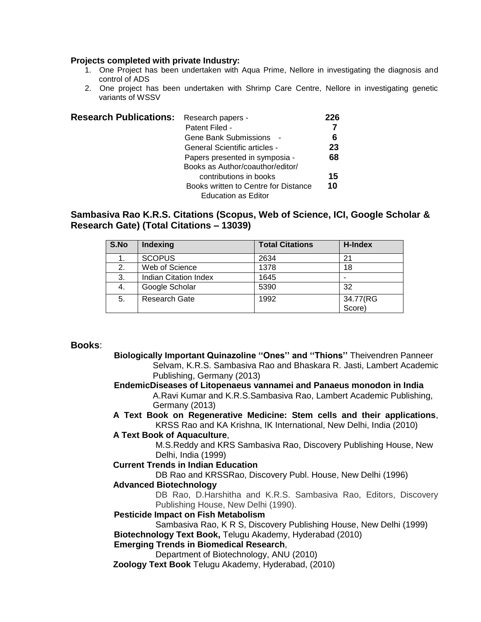#### **Projects completed with private Industry:**

- 1. One Project has been undertaken with Aqua Prime, Nellore in investigating the diagnosis and control of ADS
- 2. One project has been undertaken with Shrimp Care Centre, Nellore in investigating genetic variants of WSSV

| <b>Research Publications:</b> | Research papers -                    | 226 |
|-------------------------------|--------------------------------------|-----|
|                               | Patent Filed -                       |     |
|                               | Gene Bank Submissions -              | 6   |
|                               | General Scientific articles -        | 23  |
|                               | Papers presented in symposia -       | 68  |
|                               | Books as Author/coauthor/editor/     |     |
|                               | contributions in books               | 15  |
|                               | Books written to Centre for Distance | 10  |
|                               | <b>Education as Editor</b>           |     |

# **Sambasiva Rao K.R.S. Citations (Scopus, Web of Science, ICI, Google Scholar & Research Gate) (Total Citations – 13039)**

| S.No | <b>Indexing</b>              | <b>Total Citations</b> | H-Index            |
|------|------------------------------|------------------------|--------------------|
|      | <b>SCOPUS</b>                | 2634                   | 21                 |
| 2.   | Web of Science               | 1378                   | 18                 |
| 3.   | <b>Indian Citation Index</b> | 1645                   |                    |
| 4.   | Google Scholar               | 5390                   | 32                 |
| 5.   | <b>Research Gate</b>         | 1992                   | 34.77(RG<br>Score) |

#### **Books**:

 **Biologically Important Quinazoline ''Ones'' and ''Thions''** Theivendren Panneer Selvam, K.R.S. Sambasiva Rao and Bhaskara R. Jasti, Lambert Academic Publishing, Germany (2013)  **EndemicDiseases of Litopenaeus vannamei and Panaeus monodon in India** A.Ravi Kumar and K.R.S.Sambasiva Rao, Lambert Academic Publishing, Germany (2013) **A Text Book on Regenerative Medicine: Stem cells and their applications**, KRSS Rao and KA Krishna, IK International, New Delhi, India (2010) **A Text Book of Aquaculture**, M.S.Reddy and KRS Sambasiva Rao, Discovery Publishing House, New Delhi, India (1999) **Current Trends in Indian Education** DB Rao and KRSSRao, Discovery Publ. House, New Delhi (1996) **Advanced Biotechnology** DB Rao, D.Harshitha and K.R.S. Sambasiva Rao, Editors, Discovery Publishing House, New Delhi (1990).  **Pesticide Impact on Fish Metabolism** Sambasiva Rao, K R S, Discovery Publishing House, New Delhi (1999)  **Biotechnology Text Book,** Telugu Akademy, Hyderabad (2010)  **Emerging Trends in Biomedical Research**, Department of Biotechnology, ANU (2010) **Zoology Text Book** Telugu Akademy, Hyderabad, (2010)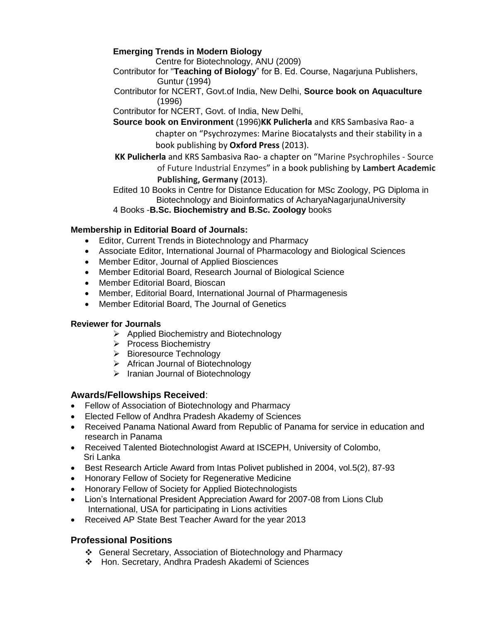# **Emerging Trends in Modern Biology**

Centre for Biotechnology, ANU (2009)

- Contributor for "**Teaching of Biology**" for B. Ed. Course, Nagarjuna Publishers, Guntur (1994)
- Contributor for NCERT, Govt.of India, New Delhi, **Source book on Aquaculture** (1996)
- Contributor for NCERT, Govt. of India, New Delhi,
- **Source book on Environment** (1996)**KK Pulicherla** and KRS Sambasiva Rao- a chapter on "Psychrozymes: Marine Biocatalysts and their stability in a book publishing by **Oxford Press** (2013).
- **KK Pulicherla** and KRS Sambasiva Rao- a chapter on "Marine Psychrophiles Source of Future Industrial Enzymes" in a book publishing by **Lambert Academic Publishing, Germany** (2013).

Edited 10 Books in Centre for Distance Education for MSc Zoology, PG Diploma in Biotechnology and Bioinformatics of AcharyaNagarjunaUniversity

# 4 Books -**B.Sc. Biochemistry and B.Sc. Zoology** books

#### **Membership in Editorial Board of Journals:**

- Editor, Current Trends in Biotechnology and Pharmacy
- Associate Editor, International Journal of Pharmacology and Biological Sciences
- Member Editor, Journal of Applied Biosciences
- Member Editorial Board, Research Journal of Biological Science
- Member Editorial Board, Bioscan
- Member, Editorial Board, International Journal of Pharmagenesis
- Member Editorial Board, The Journal of Genetics

#### **Reviewer for Journals**

- $\triangleright$  Applied Biochemistry and Biotechnology
- > Process Biochemistry
- $\triangleright$  Bioresource Technology
- African Journal of Biotechnology
- $\triangleright$  Iranian Journal of Biotechnology

# **Awards/Fellowships Received**:

- Fellow of Association of Biotechnology and Pharmacy
- Elected Fellow of Andhra Pradesh Akademy of Sciences
- Received Panama National Award from Republic of Panama for service in education and research in Panama
- Received Talented Biotechnologist Award at ISCEPH, University of Colombo, Sri Lanka
- Best Research Article Award from Intas Polivet published in 2004, vol.5(2), 87-93
- Honorary Fellow of Society for Regenerative Medicine
- Honorary Fellow of Society for Applied Biotechnologists
- Lion's International President Appreciation Award for 2007-08 from Lions Club International, USA for participating in Lions activities
- Received AP State Best Teacher Award for the year 2013

# **Professional Positions**

- General Secretary, Association of Biotechnology and Pharmacy
- Hon. Secretary, Andhra Pradesh Akademi of Sciences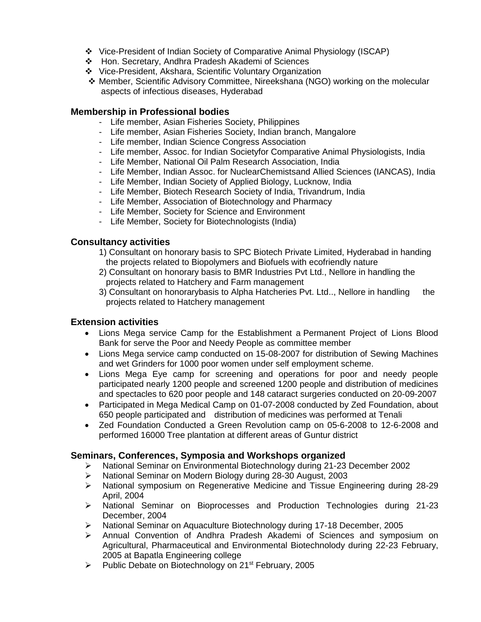- Vice-President of Indian Society of Comparative Animal Physiology (ISCAP)
- Hon. Secretary, Andhra Pradesh Akademi of Sciences
- Vice-President, Akshara, Scientific Voluntary Organization
- Member, Scientific Advisory Committee, Nireekshana (NGO) working on the molecular aspects of infectious diseases, Hyderabad

#### **Membership in Professional bodies**

- Life member, Asian Fisheries Society, Philippines
- Life member, Asian Fisheries Society, Indian branch, Mangalore
- Life member, Indian Science Congress Association
- Life member, Assoc. for Indian Societyfor Comparative Animal Physiologists, India
- Life Member, National Oil Palm Research Association, India
- Life Member, Indian Assoc. for NuclearChemistsand Allied Sciences (IANCAS), India
- Life Member, Indian Society of Applied Biology, Lucknow, India
- Life Member, Biotech Research Society of India, Trivandrum, India
- Life Member, Association of Biotechnology and Pharmacy
- Life Member, Society for Science and Environment
- Life Member, Society for Biotechnologists (India)

# **Consultancy activities**

- 1) Consultant on honorary basis to SPC Biotech Private Limited, Hyderabad in handing the projects related to Biopolymers and Biofuels with ecofriendly nature
- 2) Consultant on honorary basis to BMR Industries Pvt Ltd., Nellore in handling the projects related to Hatchery and Farm management
- 3) Consultant on honorarybasis to Alpha Hatcheries Pvt. Ltd.., Nellore in handling the projects related to Hatchery management

# **Extension activities**

- Lions Mega service Camp for the Establishment a Permanent Project of Lions Blood Bank for serve the Poor and Needy People as committee member
- Lions Mega service camp conducted on 15-08-2007 for distribution of Sewing Machines and wet Grinders for 1000 poor women under self employment scheme.
- Lions Mega Eye camp for screening and operations for poor and needy people participated nearly 1200 people and screened 1200 people and distribution of medicines and spectacles to 620 poor people and 148 cataract surgeries conducted on 20-09-2007
- Participated in Mega Medical Camp on 01-07-2008 conducted by Zed Foundation, about 650 people participated and distribution of medicines was performed at Tenali
- Zed Foundation Conducted a Green Revolution camp on 05-6-2008 to 12-6-2008 and performed 16000 Tree plantation at different areas of Guntur district

# **Seminars, Conferences, Symposia and Workshops organized**

- ▶ National Seminar on Environmental Biotechnology during 21-23 December 2002
- ▶ National Seminar on Modern Biology during 28-30 August, 2003
- $\triangleright$  National symposium on Regenerative Medicine and Tissue Engineering during 28-29 April, 2004
- > National Seminar on Bioprocesses and Production Technologies during 21-23 December, 2004
- National Seminar on Aquaculture Biotechnology during 17-18 December, 2005
- Annual Convention of Andhra Pradesh Akademi of Sciences and symposium on Agricultural, Pharmaceutical and Environmental Biotechnolody during 22-23 February, 2005 at Bapatla Engineering college
- $\triangleright$  Public Debate on Biotechnology on 21<sup>st</sup> February, 2005